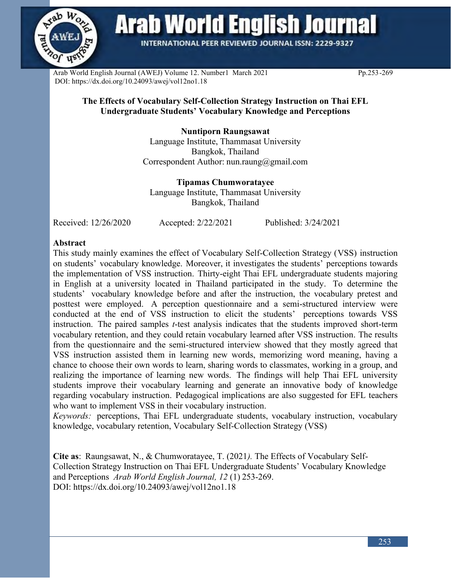

**Arab World English Journal** 

**INTERNATIONAL PEER REVIEWED JOURNAL ISSN: 2229-9327** 

Arab World English Journal (AWEJ) Volume 12. Number1 March 2021 Pp.253-269 DOI: https://dx.doi.org/10.24093/awej/vol12no1.18

## **The Effects of Vocabulary Self-Collection Strategy Instruction on Thai EFL Undergraduate Students' Vocabulary Knowledge and Perceptions**

# **Nuntiporn Raungsawat**

Language Institute, Thammasat University Bangkok, Thailand Correspondent Author: nun.raung@gmail.com

**Tipamas Chumworatayee** Language Institute, Thammasat University Bangkok, Thailand

Received: 12/26/2020 Accepted: 2/22/2021 Published: 3/24/2021

### **Abstract**

This study mainly examines the effect of Vocabulary Self-Collection Strategy (VSS) instruction on students' vocabulary knowledge. Moreover, it investigates the students' perceptions towards the implementation of VSS instruction. Thirty-eight Thai EFL undergraduate students majoring in English at a university located in Thailand participated in the study. To determine the students' vocabulary knowledge before and after the instruction, the vocabulary pretest and posttest were employed. A perception questionnaire and a semi-structured interview were conducted at the end of VSS instruction to elicit the students' perceptions towards VSS instruction. The paired samples *t*-test analysis indicates that the students improved short-term vocabulary retention, and they could retain vocabulary learned after VSS instruction. The results from the questionnaire and the semi-structured interview showed that they mostly agreed that VSS instruction assisted them in learning new words, memorizing word meaning, having a chance to choose their own words to learn, sharing words to classmates, working in a group, and realizing the importance of learning new words. The findings will help Thai EFL university students improve their vocabulary learning and generate an innovative body of knowledge regarding vocabulary instruction. Pedagogical implications are also suggested for EFL teachers who want to implement VSS in their vocabulary instruction.

*Keywords:* perceptions, Thai EFL undergraduate students, vocabulary instruction, vocabulary knowledge, vocabulary retention, Vocabulary Self-Collection Strategy (VSS)

**Cite as**: Raungsawat, N., & Chumworatayee, T. (2021*).* The Effects of Vocabulary Self-Collection Strategy Instruction on Thai EFL Undergraduate Students' Vocabulary Knowledge and Perceptions *Arab World English Journal, 12* (1) 253-269. DOI: https://dx.doi.org/10.24093/awej/vol12no1.18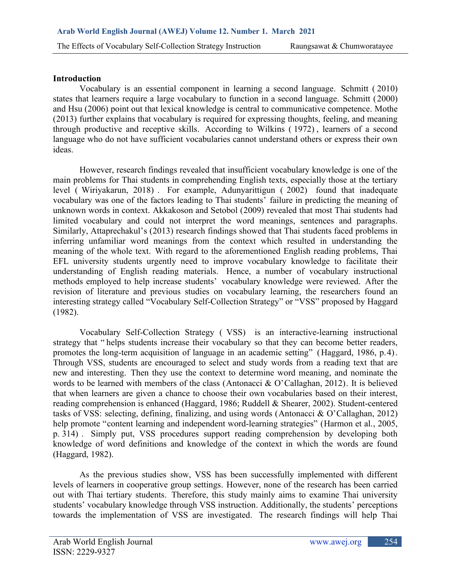#### **Introduction**

Vocabulary is an essential component in learning a second language. Schmitt ( 2010) states that learners require a large vocabulary to function in a second language. Schmitt (2000) and Hsu (2006) point out that lexical knowledge is central to communicative competence. Mothe (2013) further explains that vocabulary is required for expressing thoughts, feeling, and meaning through productive and receptive skills. According to Wilkins ( 1972) , learners of a second language who do not have sufficient vocabularies cannot understand others or express their own ideas.

However, research findings revealed that insufficient vocabulary knowledge is one of the main problems for Thai students in comprehending English texts, especially those at the tertiary level ( Wiriyakarun, 2018) . For example, Adunyarittigun ( 2002) found that inadequate vocabulary was one of the factors leading to Thai students' failure in predicting the meaning of unknown words in context. Akkakoson and Setobol (2009) revealed that most Thai students had limited vocabulary and could not interpret the word meanings, sentences and paragraphs. Similarly, Attaprechakul's (2013) research findings showed that Thai students faced problems in inferring unfamiliar word meanings from the context which resulted in understanding the meaning of the whole text. With regard to the aforementioned English reading problems, Thai EFL university students urgently need to improve vocabulary knowledge to facilitate their understanding of English reading materials. Hence, a number of vocabulary instructional methods employed to help increase students' vocabulary knowledge were reviewed. After the revision of literature and previous studies on vocabulary learning, the researchers found an interesting strategy called "Vocabulary Self-Collection Strategy" or "VSS" proposed by Haggard (1982).

Vocabulary Self-Collection Strategy ( VSS) is an interactive-learning instructional strategy that " helps students increase their vocabulary so that they can become better readers, promotes the long-term acquisition of language in an academic setting" (Haggard, 1986, p.4) . Through VSS, students are encouraged to select and study words from a reading text that are new and interesting. Then they use the context to determine word meaning, and nominate the words to be learned with members of the class (Antonacci & O'Callaghan, 2012). It is believed that when learners are given a chance to choose their own vocabularies based on their interest, reading comprehension is enhanced (Haggard, 1986; Ruddell & Shearer, 2002). Student-centered tasks of VSS: selecting, defining, finalizing, and using words (Antonacci & O'Callaghan, 2012) help promote "content learning and independent word-learning strategies" (Harmon et al., 2005, p. 314) . Simply put, VSS procedures support reading comprehension by developing both knowledge of word definitions and knowledge of the context in which the words are found (Haggard, 1982).

As the previous studies show, VSS has been successfully implemented with different levels of learners in cooperative group settings. However, none of the research has been carried out with Thai tertiary students. Therefore, this study mainly aims to examine Thai university students' vocabulary knowledge through VSS instruction. Additionally, the students' perceptions towards the implementation of VSS are investigated. The research findings will help Thai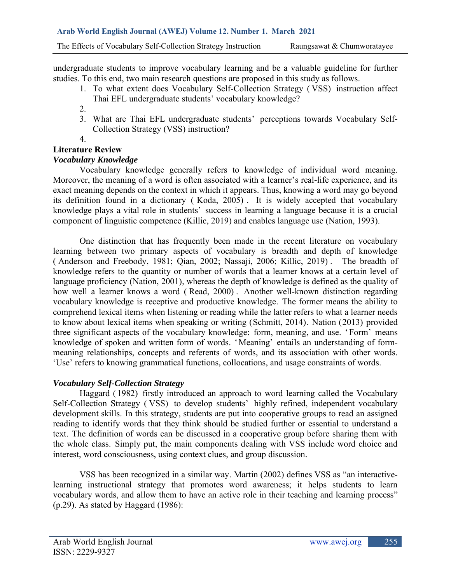undergraduate students to improve vocabulary learning and be a valuable guideline for further studies. To this end, two main research questions are proposed in this study as follows.

- 1. To what extent does Vocabulary Self-Collection Strategy ( VSS) instruction affect Thai EFL undergraduate students' vocabulary knowledge?
- 2.
- 3. What are Thai EFL undergraduate students' perceptions towards Vocabulary Self-Collection Strategy (VSS) instruction?
- 4.

# **Literature Review**

# *Vocabulary Knowledge*

Vocabulary knowledge generally refers to knowledge of individual word meaning. Moreover, the meaning of a word is often associated with a learner's real-life experience, and its exact meaning depends on the context in which it appears. Thus, knowing a word may go beyond its definition found in a dictionary ( Koda, 2005) . It is widely accepted that vocabulary knowledge plays a vital role in students' success in learning a language because it is a crucial component of linguistic competence (Killic, 2019) and enables language use (Nation, 1993).

One distinction that has frequently been made in the recent literature on vocabulary learning between two primary aspects of vocabulary is breadth and depth of knowledge ( Anderson and Freebody, 1981; Qian, 2002; Nassaji, 2006; Killic, 2019) . The breadth of knowledge refers to the quantity or number of words that a learner knows at a certain level of language proficiency (Nation, 2001), whereas the depth of knowledge is defined as the quality of how well a learner knows a word ( Read, 2000) . Another well-known distinction regarding vocabulary knowledge is receptive and productive knowledge. The former means the ability to comprehend lexical items when listening or reading while the latter refers to what a learner needs to know about lexical items when speaking or writing (Schmitt, 2014). Nation (2013) provided three significant aspects of the vocabulary knowledge: form, meaning, and use. 'Form' means knowledge of spoken and written form of words. 'Meaning' entails an understanding of formmeaning relationships, concepts and referents of words, and its association with other words. 'Use' refers to knowing grammatical functions, collocations, and usage constraints of words.

## *Vocabulary Self-Collection Strategy*

Haggard ( 1982) firstly introduced an approach to word learning called the Vocabulary Self-Collection Strategy ( VSS) to develop students' highly refined, independent vocabulary development skills. In this strategy, students are put into cooperative groups to read an assigned reading to identify words that they think should be studied further or essential to understand a text. The definition of words can be discussed in a cooperative group before sharing them with the whole class. Simply put, the main components dealing with VSS include word choice and interest, word consciousness, using context clues, and group discussion.

VSS has been recognized in a similar way. Martin (2002) defines VSS as "an interactivelearning instructional strategy that promotes word awareness; it helps students to learn vocabulary words, and allow them to have an active role in their teaching and learning process" (p.29). As stated by Haggard (1986):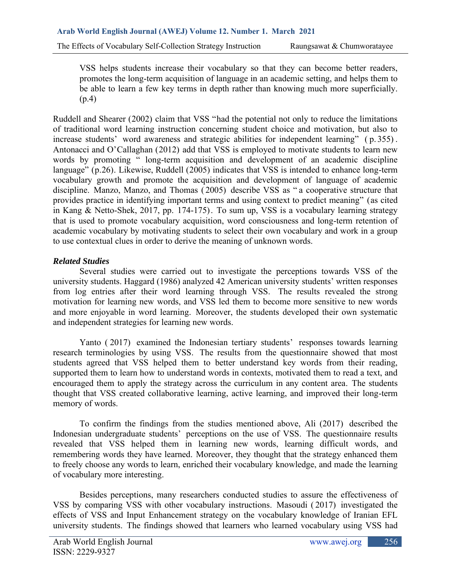VSS helps students increase their vocabulary so that they can become better readers, promotes the long-term acquisition of language in an academic setting, and helps them to be able to learn a few key terms in depth rather than knowing much more superficially. (p.4)

Ruddell and Shearer (2002) claim that VSS "had the potential not only to reduce the limitations of traditional word learning instruction concerning student choice and motivation, but also to increase students' word awareness and strategic abilities for independent learning" ( p. 355) . Antonacci and O'Callaghan (2012) add that VSS is employed to motivate students to learn new words by promoting " long-term acquisition and development of an academic discipline language" (p.26). Likewise, Ruddell (2005) indicates that VSS is intended to enhance long-term vocabulary growth and promote the acquisition and development of language of academic discipline. Manzo, Manzo, and Thomas ( 2005) describe VSS as " a cooperative structure that provides practice in identifying important terms and using context to predict meaning" (as cited in Kang & Netto-Shek, 2017, pp. 174-175). To sum up, VSS is a vocabulary learning strategy that is used to promote vocabulary acquisition, word consciousness and long-term retention of academic vocabulary by motivating students to select their own vocabulary and work in a group to use contextual clues in order to derive the meaning of unknown words.

## *Related Studies*

Several studies were carried out to investigate the perceptions towards VSS of the university students. Haggard (1986) analyzed 42 American university students' written responses from log entries after their word learning through VSS. The results revealed the strong motivation for learning new words, and VSS led them to become more sensitive to new words and more enjoyable in word learning. Moreover, the students developed their own systematic and independent strategies for learning new words.

Yanto ( 2017) examined the Indonesian tertiary students' responses towards learning research terminologies by using VSS. The results from the questionnaire showed that most students agreed that VSS helped them to better understand key words from their reading, supported them to learn how to understand words in contexts, motivated them to read a text, and encouraged them to apply the strategy across the curriculum in any content area. The students thought that VSS created collaborative learning, active learning, and improved their long-term memory of words.

To confirm the findings from the studies mentioned above, Ali (2017) described the Indonesian undergraduate students' perceptions on the use of VSS. The questionnaire results revealed that VSS helped them in learning new words, learning difficult words, and remembering words they have learned. Moreover, they thought that the strategy enhanced them to freely choose any words to learn, enriched their vocabulary knowledge, and made the learning of vocabulary more interesting.

Besides perceptions, many researchers conducted studies to assure the effectiveness of VSS by comparing VSS with other vocabulary instructions. Masoudi ( 2017) investigated the effects of VSS and Input Enhancement strategy on the vocabulary knowledge of Iranian EFL university students. The findings showed that learners who learned vocabulary using VSS had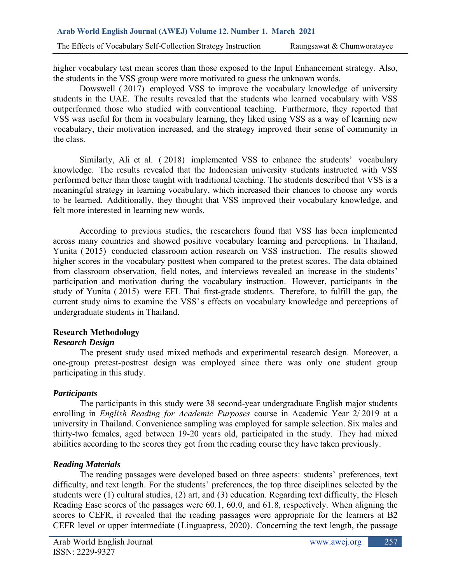higher vocabulary test mean scores than those exposed to the Input Enhancement strategy. Also, the students in the VSS group were more motivated to guess the unknown words.

Dowswell ( 2017) employed VSS to improve the vocabulary knowledge of university students in the UAE. The results revealed that the students who learned vocabulary with VSS outperformed those who studied with conventional teaching. Furthermore, they reported that VSS was useful for them in vocabulary learning, they liked using VSS as a way of learning new vocabulary, their motivation increased, and the strategy improved their sense of community in the class.

Similarly, Ali et al. ( 2018) implemented VSS to enhance the students' vocabulary knowledge. The results revealed that the Indonesian university students instructed with VSS performed better than those taught with traditional teaching. The students described that VSS is a meaningful strategy in learning vocabulary, which increased their chances to choose any words to be learned. Additionally, they thought that VSS improved their vocabulary knowledge, and felt more interested in learning new words.

According to previous studies, the researchers found that VSS has been implemented across many countries and showed positive vocabulary learning and perceptions. In Thailand, Yunita ( 2015) conducted classroom action research on VSS instruction. The results showed higher scores in the vocabulary posttest when compared to the pretest scores. The data obtained from classroom observation, field notes, and interviews revealed an increase in the students' participation and motivation during the vocabulary instruction. However, participants in the study of Yunita ( 2015) were EFL Thai first-grade students. Therefore, to fulfill the gap, the current study aims to examine the VSS's effects on vocabulary knowledge and perceptions of undergraduate students in Thailand.

## **Research Methodology**

## *Research Design*

The present study used mixed methods and experimental research design. Moreover, a one-group pretest-posttest design was employed since there was only one student group participating in this study.

## *Participants*

The participants in this study were 38 second-year undergraduate English major students enrolling in *English Reading for Academic Purposes* course in Academic Year 2/ 2019 at a university in Thailand. Convenience sampling was employed for sample selection. Six males and thirty-two females, aged between 19-20 years old, participated in the study. They had mixed abilities according to the scores they got from the reading course they have taken previously.

## *Reading Materials*

The reading passages were developed based on three aspects: students' preferences, text difficulty, and text length. For the students' preferences, the top three disciplines selected by the students were (1) cultural studies, (2) art, and (3) education. Regarding text difficulty, the Flesch Reading Ease scores of the passages were 60.1, 60.0, and 61.8, respectively. When aligning the scores to CEFR, it revealed that the reading passages were appropriate for the learners at B2 CEFR level or upper intermediate (Linguapress, 2020). Concerning the text length, the passage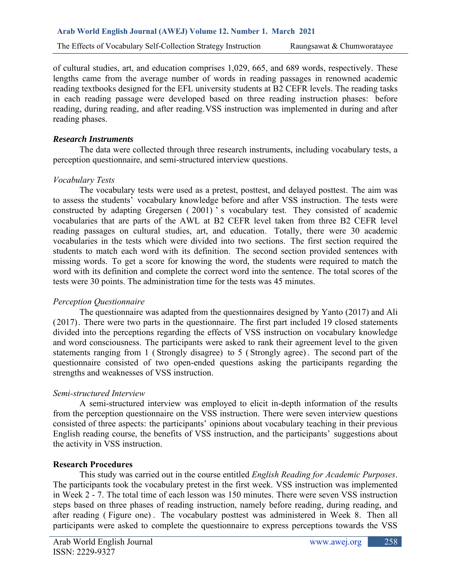of cultural studies, art, and education comprises 1,029, 665, and 689 words, respectively. These lengths came from the average number of words in reading passages in renowned academic reading textbooks designed for the EFL university students at B2 CEFR levels. The reading tasks in each reading passage were developed based on three reading instruction phases: before reading, during reading, and after reading.VSS instruction was implemented in during and after reading phases.

### *Research Instruments*

The data were collected through three research instruments, including vocabulary tests, a perception questionnaire, and semi-structured interview questions.

### *Vocabulary Tests*

The vocabulary tests were used as a pretest, posttest, and delayed posttest. The aim was to assess the students' vocabulary knowledge before and after VSS instruction. The tests were constructed by adapting Gregersen ( 2001) ' s vocabulary test. They consisted of academic vocabularies that are parts of the AWL at B2 CEFR level taken from three B2 CEFR level reading passages on cultural studies, art, and education. Totally, there were 30 academic vocabularies in the tests which were divided into two sections. The first section required the students to match each word with its definition. The second section provided sentences with missing words. To get a score for knowing the word, the students were required to match the word with its definition and complete the correct word into the sentence. The total scores of the tests were 30 points. The administration time for the tests was 45 minutes.

### *Perception Questionnaire*

The questionnaire was adapted from the questionnaires designed by Yanto (2017) and Ali (2017). There were two parts in the questionnaire. The first part included 19 closed statements divided into the perceptions regarding the effects of VSS instruction on vocabulary knowledge and word consciousness. The participants were asked to rank their agreement level to the given statements ranging from 1 ( Strongly disagree) to 5 ( Strongly agree) . The second part of the questionnaire consisted of two open-ended questions asking the participants regarding the strengths and weaknesses of VSS instruction.

### *Semi-structured Interview*

A semi-structured interview was employed to elicit in-depth information of the results from the perception questionnaire on the VSS instruction. There were seven interview questions consisted of three aspects: the participants' opinions about vocabulary teaching in their previous English reading course, the benefits of VSS instruction, and the participants' suggestions about the activity in VSS instruction.

### **Research Procedures**

This study was carried out in the course entitled *English Reading for Academic Purposes*. The participants took the vocabulary pretest in the first week. VSS instruction was implemented in Week 2 - 7. The total time of each lesson was 150 minutes. There were seven VSS instruction steps based on three phases of reading instruction, namely before reading, during reading, and after reading ( Figure one) . The vocabulary posttest was administered in Week 8. Then all participants were asked to complete the questionnaire to express perceptions towards the VSS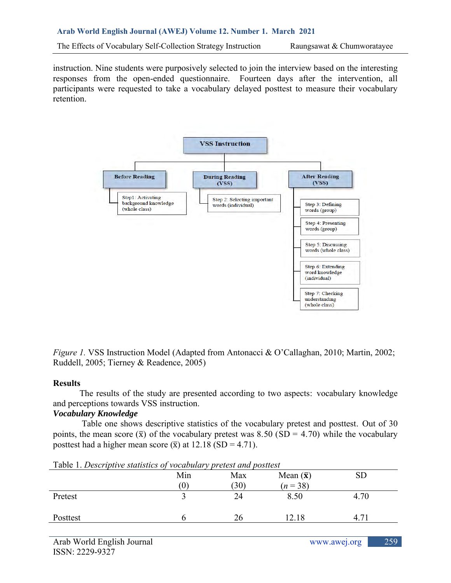instruction. Nine students were purposively selected to join the interview based on the interesting responses from the open-ended questionnaire. Fourteen days after the intervention, all participants were requested to take a vocabulary delayed posttest to measure their vocabulary retention.



*Figure 1.* VSS Instruction Model (Adapted from Antonacci & O'Callaghan, 2010; Martin, 2002; Ruddell, 2005; Tierney & Readence, 2005)

### **Results**

The results of the study are presented according to two aspects: vocabulary knowledge and perceptions towards VSS instruction.

## *Vocabulary Knowledge*

Table one shows descriptive statistics of the vocabulary pretest and posttest. Out of 30 points, the mean score  $(\bar{x})$  of the vocabulary pretest was 8.50 (SD = 4.70) while the vocabulary posttest had a higher mean score  $(\bar{x})$  at 12.18 (SD = 4.71).

| Tuble 1. Descriptive statistics of vocability pretest and positest |                  |      |                  |           |
|--------------------------------------------------------------------|------------------|------|------------------|-----------|
|                                                                    | Min              | Max  | Mean $(\bar{x})$ | <b>SD</b> |
|                                                                    | $\left(0\right)$ | (30) | $(n=38)$         |           |
| Pretest                                                            |                  | 24   | 8.50             | 4.70      |
|                                                                    |                  |      |                  |           |
| Posttest                                                           |                  | 26   | 12.18            |           |
|                                                                    |                  |      |                  |           |

Table 1. *Descriptive statistics of vocabulary pretest and posttest*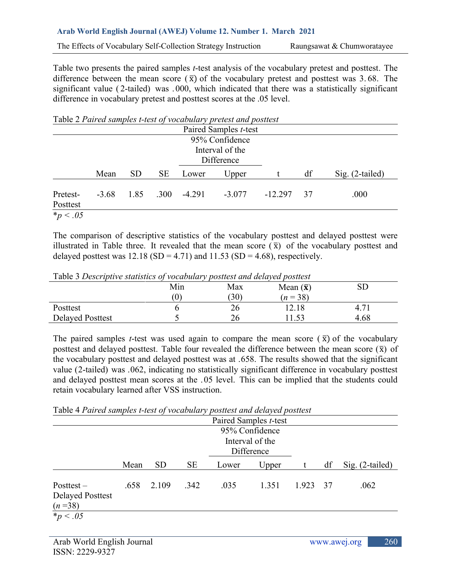#### **Arab World English Journal (AWEJ) Volume 12. Number 1. March 2021**

The Effects of Vocabulary Self-Collection Strategy Instruction Raungsawat & Chumworatayee

Table two presents the paired samples *t*-test analysis of the vocabulary pretest and posttest. The difference between the mean score  $(\bar{x})$  of the vocabulary pretest and posttest was 3.68. The significant value ( 2-tailed) was . 000, which indicated that there was a statistically significant difference in vocabulary pretest and posttest scores at the .05 level.

|                      |                 |           |           |          | Table 2 Paired samples t-test of vocabulary pretest and posttest |           |    |                   |
|----------------------|-----------------|-----------|-----------|----------|------------------------------------------------------------------|-----------|----|-------------------|
|                      |                 |           |           |          | Paired Samples t-test                                            |           |    |                   |
|                      |                 |           |           |          | 95% Confidence                                                   |           |    |                   |
|                      | Interval of the |           |           |          |                                                                  |           |    |                   |
|                      | Difference      |           |           |          |                                                                  |           |    |                   |
|                      | Mean            | <b>SD</b> | <b>SE</b> | Lower    | Upper                                                            |           | df | $Sig. (2-tailed)$ |
| Pretest-<br>Posttest | $-3.68$         | 1.85      | .300      | $-4.291$ | $-3.077$                                                         | $-12.297$ | 37 | .000              |
| <i>*p</i> < .05      |                 |           |           |          |                                                                  |           |    |                   |

The comparison of descriptive statistics of the vocabulary posttest and delayed posttest were illustrated in Table three. It revealed that the mean score  $(\bar{x})$  of the vocabulary posttest and delayed posttest was  $12.18$  (SD = 4.71) and  $11.53$  (SD = 4.68), respectively.

| Table 3 Descriptive statistics of vocabulary posttest and delayed posttest |                            |     |                  |      |
|----------------------------------------------------------------------------|----------------------------|-----|------------------|------|
|                                                                            | Min                        | Max | Mean $(\bar{x})$ |      |
|                                                                            | $\left( \mathbf{U}\right)$ | 30) | $(n=38)$         |      |
| Posttest                                                                   |                            | 26  | !2.18            | 4.71 |
| <b>Delayed Posttest</b>                                                    |                            | 26  |                  | 4.68 |

Table 3 *Descriptive statistics of vocabulary posttest and delayed posttest*

The paired samples *t*-test was used again to compare the mean score  $(\bar{x})$  of the vocabulary posttest and delayed posttest. Table four revealed the difference between the mean score  $(\bar{x})$  of the vocabulary posttest and delayed posttest was at .658. The results showed that the significant value (2-tailed) was .062, indicating no statistically significant difference in vocabulary posttest and delayed posttest mean scores at the .05 level. This can be implied that the students could retain vocabulary learned after VSS instruction.

Table 4 *Paired samples t-test of vocabulary posttest and delayed posttest*

|                                                     |                                                 |           |           |       | Paired Samples <i>t</i> -test |       |      |                 |
|-----------------------------------------------------|-------------------------------------------------|-----------|-----------|-------|-------------------------------|-------|------|-----------------|
|                                                     | 95% Confidence<br>Interval of the<br>Difference |           |           |       |                               |       |      |                 |
|                                                     | Mean                                            | <b>SD</b> | <b>SE</b> | Lower | Upper                         |       | df   | Sig. (2-tailed) |
| $Posttest -$<br><b>Delayed Posttest</b><br>$(n=38)$ | .658                                            | 2.109     | .342      | .035  | 1.351                         | 1.923 | - 37 | .062            |
| <i>*p</i> < .05                                     |                                                 |           |           |       |                               |       |      |                 |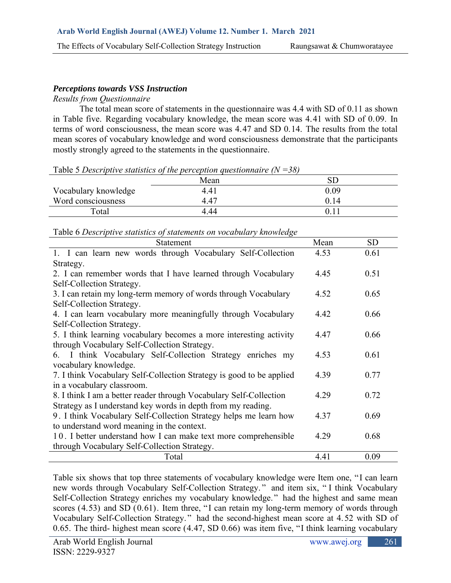# *Perceptions towards VSS Instruction*

### *Results from Questionnaire*

The total mean score of statements in the questionnaire was 4.4 with SD of 0.11 as shown in Table five. Regarding vocabulary knowledge, the mean score was 4.41 with SD of 0.09. In terms of word consciousness, the mean score was 4.47 and SD 0.14. The results from the total mean scores of vocabulary knowledge and word consciousness demonstrate that the participants mostly strongly agreed to the statements in the questionnaire.

Mean SD Vocabulary knowledge 4.41 0.09 Word consciousness  $4.47$  0.14 Total 4.44 0.11

| Table 5 Descriptive statistics of the perception questionnaire $(N = 38)$ |  |  |  |  |  |
|---------------------------------------------------------------------------|--|--|--|--|--|
|---------------------------------------------------------------------------|--|--|--|--|--|

| Table 6 Descriptive statistics of statements on vocabulary knowledge |  |  |
|----------------------------------------------------------------------|--|--|
|                                                                      |  |  |

| Statement                                                            | Mean | <b>SD</b> |
|----------------------------------------------------------------------|------|-----------|
| 1. I can learn new words through Vocabulary Self-Collection          | 4.53 | 0.61      |
| Strategy.                                                            |      |           |
| 2. I can remember words that I have learned through Vocabulary       | 4.45 | 0.51      |
| Self-Collection Strategy.                                            |      |           |
| 3. I can retain my long-term memory of words through Vocabulary      | 4.52 | 0.65      |
| Self-Collection Strategy.                                            |      |           |
| 4. I can learn vocabulary more meaningfully through Vocabulary       | 4.42 | 0.66      |
| Self-Collection Strategy.                                            |      |           |
| 5. I think learning vocabulary becomes a more interesting activity   | 4.47 | 0.66      |
| through Vocabulary Self-Collection Strategy.                         |      |           |
| 6. I think Vocabulary Self-Collection Strategy enriches my           | 4.53 | 0.61      |
| vocabulary knowledge.                                                |      |           |
| 7. I think Vocabulary Self-Collection Strategy is good to be applied | 4.39 | 0.77      |
| in a vocabulary classroom.                                           |      |           |
| 8. I think I am a better reader through Vocabulary Self-Collection   | 4.29 | 0.72      |
| Strategy as I understand key words in depth from my reading.         |      |           |
| 9. I think Vocabulary Self-Collection Strategy helps me learn how    | 4.37 | 0.69      |
| to understand word meaning in the context.                           |      |           |
| 10. I better understand how I can make text more comprehensible      | 4.29 | 0.68      |
| through Vocabulary Self-Collection Strategy.                         |      |           |
| Total                                                                | 4.41 | 0.09      |

Table six shows that top three statements of vocabulary knowledge were Item one, "I can learn new words through Vocabulary Self-Collection Strategy. " and item six, " I think Vocabulary Self-Collection Strategy enriches my vocabulary knowledge." had the highest and same mean scores (4.53) and SD (0.61). Item three, "I can retain my long-term memory of words through Vocabulary Self-Collection Strategy. " had the second-highest mean score at 4.52 with SD of 0.65. The third- highest mean score (4.47, SD 0.66) was item five, "I think learning vocabulary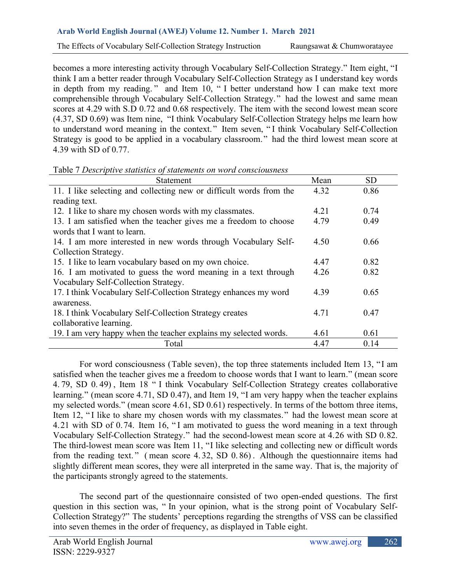becomes a more interesting activity through Vocabulary Self-Collection Strategy." Item eight, "I think I am a better reader through Vocabulary Self-Collection Strategy as I understand key words in depth from my reading. " and Item 10, " I better understand how I can make text more comprehensible through Vocabulary Self-Collection Strategy." had the lowest and same mean scores at 4.29 with S.D 0.72 and 0.68 respectively. The item with the second lowest mean score (4.37, SD 0.69) was Item nine, "I think Vocabulary Self-Collection Strategy helps me learn how to understand word meaning in the context." Item seven, " I think Vocabulary Self-Collection Strategy is good to be applied in a vocabulary classroom." had the third lowest mean score at 4.39 with SD of 0.77.

| Statement                                                           | Mean | <b>SD</b> |
|---------------------------------------------------------------------|------|-----------|
| 11. I like selecting and collecting new or difficult words from the | 4.32 | 0.86      |
| reading text.                                                       |      |           |
| 12. I like to share my chosen words with my classmates.             | 4.21 | 0.74      |
| 13. I am satisfied when the teacher gives me a freedom to choose    | 4.79 | 0.49      |
| words that I want to learn.                                         |      |           |
| 14. I am more interested in new words through Vocabulary Self-      | 4.50 | 0.66      |
| Collection Strategy.                                                |      |           |
| 15. I like to learn vocabulary based on my own choice.              | 4.47 | 0.82      |
| 16. I am motivated to guess the word meaning in a text through      | 4.26 | 0.82      |
| Vocabulary Self-Collection Strategy.                                |      |           |
| 17. I think Vocabulary Self-Collection Strategy enhances my word    | 4.39 | 0.65      |
| awareness.                                                          |      |           |
| 18. I think Vocabulary Self-Collection Strategy creates             | 4.71 | 0.47      |
| collaborative learning.                                             |      |           |
| 19. I am very happy when the teacher explains my selected words.    | 4.61 | 0.61      |
| Total                                                               | 4.47 | 0.14      |

Table 7 *Descriptive statistics of statements on word consciousness*

For word consciousness (Table seven), the top three statements included Item 13, "I am satisfied when the teacher gives me a freedom to choose words that I want to learn." (mean score 4. 79, SD 0. 49) , Item 18 " I think Vocabulary Self-Collection Strategy creates collaborative learning." (mean score 4.71, SD 0.47), and Item 19, "I am very happy when the teacher explains my selected words." (mean score 4.61, SD 0.61) respectively. In terms of the bottom three items, Item 12, "I like to share my chosen words with my classmates." had the lowest mean score at 4.21 with SD of 0.74. Item 16, " I am motivated to guess the word meaning in a text through Vocabulary Self-Collection Strategy." had the second-lowest mean score at 4.26 with SD 0.82. The third-lowest mean score was Item 11, "I like selecting and collecting new or difficult words from the reading text. " ( mean score 4. 32, SD 0. 86) . Although the questionnaire items had slightly different mean scores, they were all interpreted in the same way. That is, the majority of the participants strongly agreed to the statements.

The second part of the questionnaire consisted of two open-ended questions. The first question in this section was, " In your opinion, what is the strong point of Vocabulary Self-Collection Strategy?" The students' perceptions regarding the strengths of VSS can be classified into seven themes in the order of frequency, as displayed in Table eight.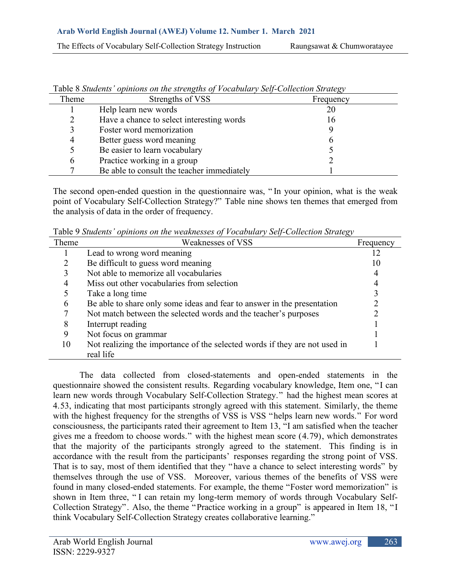| Theme | Strengths of VSS                           | Frequency |
|-------|--------------------------------------------|-----------|
|       | Help learn new words                       | 20        |
| 2     | Have a chance to select interesting words  | 16        |
| 3     | Foster word memorization                   |           |
| 4     | Better guess word meaning                  | n         |
| 5     | Be easier to learn vocabulary              |           |
| 6     | Practice working in a group                |           |
|       | Be able to consult the teacher immediately |           |

Table 8 *Students' opinions on the strengths of Vocabulary Self-Collection Strategy*

The second open-ended question in the questionnaire was, " In your opinion, what is the weak point of Vocabulary Self-Collection Strategy?" Table nine shows ten themes that emerged from the analysis of data in the order of frequency.

Table 9 *Students' opinions on the weaknesses of Vocabulary Self-Collection Strategy*

| Theme          | Weaknesses of VSS                                                          | Frequency |
|----------------|----------------------------------------------------------------------------|-----------|
|                | Lead to wrong word meaning                                                 | 12        |
|                | Be difficult to guess word meaning                                         | 10        |
|                | Not able to memorize all vocabularies                                      |           |
| $\overline{4}$ | Miss out other vocabularies from selection                                 |           |
|                | Take a long time                                                           |           |
| 6              | Be able to share only some ideas and fear to answer in the presentation    |           |
|                | Not match between the selected words and the teacher's purposes            |           |
| 8              | Interrupt reading                                                          |           |
| 9              | Not focus on grammar                                                       |           |
| 10             | Not realizing the importance of the selected words if they are not used in |           |
|                | real life                                                                  |           |

The data collected from closed-statements and open-ended statements in the questionnaire showed the consistent results. Regarding vocabulary knowledge, Item one, "I can learn new words through Vocabulary Self-Collection Strategy." had the highest mean scores at 4.53, indicating that most participants strongly agreed with this statement. Similarly, the theme with the highest frequency for the strengths of VSS is VSS "helps learn new words." For word consciousness, the participants rated their agreement to Item 13, "I am satisfied when the teacher gives me a freedom to choose words." with the highest mean score (4.79), which demonstrates that the majority of the participants strongly agreed to the statement. This finding is in accordance with the result from the participants' responses regarding the strong point of VSS. That is to say, most of them identified that they "have a chance to select interesting words" by themselves through the use of VSS. Moreover, various themes of the benefits of VSS were found in many closed-ended statements. For example, the theme "Foster word memorization" is shown in Item three, " I can retain my long-term memory of words through Vocabulary Self-Collection Strategy". Also, the theme "Practice working in a group" is appeared in Item 18, "I think Vocabulary Self-Collection Strategy creates collaborative learning."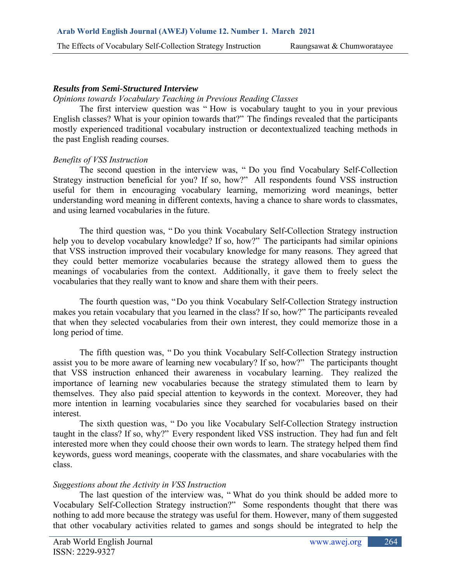### *Results from Semi-Structured Interview*

### *Opinions towards Vocabulary Teaching in Previous Reading Classes*

The first interview question was " How is vocabulary taught to you in your previous English classes? What is your opinion towards that?" The findings revealed that the participants mostly experienced traditional vocabulary instruction or decontextualized teaching methods in the past English reading courses.

### *Benefits of VSS Instruction*

The second question in the interview was, " Do you find Vocabulary Self-Collection Strategy instruction beneficial for you? If so, how?" All respondents found VSS instruction useful for them in encouraging vocabulary learning, memorizing word meanings, better understanding word meaning in different contexts, having a chance to share words to classmates, and using learned vocabularies in the future.

The third question was, " Do you think Vocabulary Self-Collection Strategy instruction help you to develop vocabulary knowledge? If so, how?" The participants had similar opinions that VSS instruction improved their vocabulary knowledge for many reasons. They agreed that they could better memorize vocabularies because the strategy allowed them to guess the meanings of vocabularies from the context. Additionally, it gave them to freely select the vocabularies that they really want to know and share them with their peers.

The fourth question was, "Do you think Vocabulary Self-Collection Strategy instruction makes you retain vocabulary that you learned in the class? If so, how?" The participants revealed that when they selected vocabularies from their own interest, they could memorize those in a long period of time.

The fifth question was, " Do you think Vocabulary Self-Collection Strategy instruction assist you to be more aware of learning new vocabulary? If so, how?" The participants thought that VSS instruction enhanced their awareness in vocabulary learning. They realized the importance of learning new vocabularies because the strategy stimulated them to learn by themselves. They also paid special attention to keywords in the context. Moreover, they had more intention in learning vocabularies since they searched for vocabularies based on their interest.

The sixth question was, " Do you like Vocabulary Self-Collection Strategy instruction taught in the class? If so, why?" Every respondent liked VSS instruction. They had fun and felt interested more when they could choose their own words to learn. The strategy helped them find keywords, guess word meanings, cooperate with the classmates, and share vocabularies with the class.

### *Suggestions about the Activity in VSS Instruction*

The last question of the interview was, " What do you think should be added more to Vocabulary Self-Collection Strategy instruction?" Some respondents thought that there was nothing to add more because the strategy was useful for them. However, many of them suggested that other vocabulary activities related to games and songs should be integrated to help the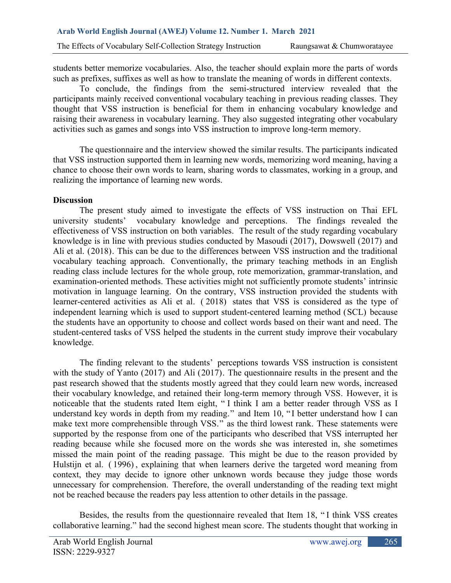students better memorize vocabularies. Also, the teacher should explain more the parts of words such as prefixes, suffixes as well as how to translate the meaning of words in different contexts.

To conclude, the findings from the semi-structured interview revealed that the participants mainly received conventional vocabulary teaching in previous reading classes. They thought that VSS instruction is beneficial for them in enhancing vocabulary knowledge and raising their awareness in vocabulary learning. They also suggested integrating other vocabulary activities such as games and songs into VSS instruction to improve long-term memory.

The questionnaire and the interview showed the similar results. The participants indicated that VSS instruction supported them in learning new words, memorizing word meaning, having a chance to choose their own words to learn, sharing words to classmates, working in a group, and realizing the importance of learning new words.

### **Discussion**

The present study aimed to investigate the effects of VSS instruction on Thai EFL university students' vocabulary knowledge and perceptions. The findings revealed the effectiveness of VSS instruction on both variables. The result of the study regarding vocabulary knowledge is in line with previous studies conducted by Masoudi (2017), Dowswell (2017) and Ali et al. (2018). This can be due to the differences between VSS instruction and the traditional vocabulary teaching approach. Conventionally, the primary teaching methods in an English reading class include lectures for the whole group, rote memorization, grammar-translation, and examination-oriented methods. These activities might not sufficiently promote students' intrinsic motivation in language learning. On the contrary, VSS instruction provided the students with learner-centered activities as Ali et al. ( 2018) states that VSS is considered as the type of independent learning which is used to support student-centered learning method (SCL) because the students have an opportunity to choose and collect words based on their want and need. The student-centered tasks of VSS helped the students in the current study improve their vocabulary knowledge.

The finding relevant to the students' perceptions towards VSS instruction is consistent with the study of Yanto (2017) and Ali (2017). The questionnaire results in the present and the past research showed that the students mostly agreed that they could learn new words, increased their vocabulary knowledge, and retained their long-term memory through VSS. However, it is noticeable that the students rated Item eight, " I think I am a better reader through VSS as I understand key words in depth from my reading." and Item 10, " I better understand how I can make text more comprehensible through VSS." as the third lowest rank. These statements were supported by the response from one of the participants who described that VSS interrupted her reading because while she focused more on the words she was interested in, she sometimes missed the main point of the reading passage. This might be due to the reason provided by Hulstijn et al. (1996), explaining that when learners derive the targeted word meaning from context, they may decide to ignore other unknown words because they judge those words unnecessary for comprehension. Therefore, the overall understanding of the reading text might not be reached because the readers pay less attention to other details in the passage.

Besides, the results from the questionnaire revealed that Item 18, " I think VSS creates collaborative learning." had the second highest mean score. The students thought that working in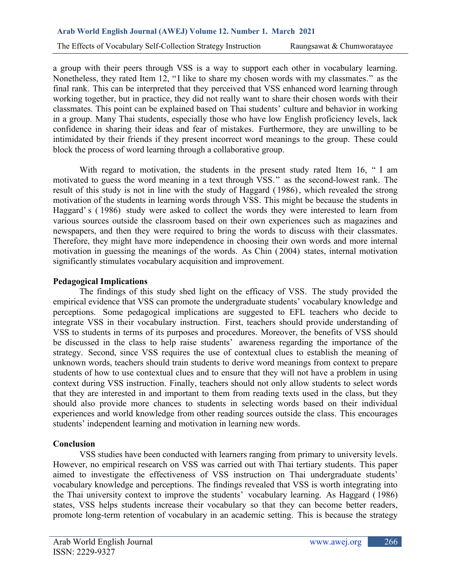a group with their peers through VSS is a way to support each other in vocabulary learning. Nonetheless, they rated Item 12, "I like to share my chosen words with my classmates." as the final rank. This can be interpreted that they perceived that VSS enhanced word learning through working together, but in practice, they did not really want to share their chosen words with their classmates. This point can be explained based on Thai students' culture and behavior in working in a group. Many Thai students, especially those who have low English proficiency levels, lack confidence in sharing their ideas and fear of mistakes. Furthermore, they are unwilling to be intimidated by their friends if they present incorrect word meanings to the group. These could block the process of word learning through a collaborative group.

With regard to motivation, the students in the present study rated Item 16, " I am motivated to guess the word meaning in a text through VSS." as the second-lowest rank. The result of this study is not in line with the study of Haggard ( 1986), which revealed the strong motivation of the students in learning words through VSS. This might be because the students in Haggard' s ( 1986) study were asked to collect the words they were interested to learn from various sources outside the classroom based on their own experiences such as magazines and newspapers, and then they were required to bring the words to discuss with their classmates. Therefore, they might have more independence in choosing their own words and more internal motivation in guessing the meanings of the words. As Chin ( 2004) states, internal motivation significantly stimulates vocabulary acquisition and improvement.

### **Pedagogical Implications**

The findings of this study shed light on the efficacy of VSS. The study provided the empirical evidence that VSS can promote the undergraduate students' vocabulary knowledge and perceptions. Some pedagogical implications are suggested to EFL teachers who decide to integrate VSS in their vocabulary instruction. First, teachers should provide understanding of VSS to students in terms of its purposes and procedures. Moreover, the benefits of VSS should be discussed in the class to help raise students' awareness regarding the importance of the strategy. Second, since VSS requires the use of contextual clues to establish the meaning of unknown words, teachers should train students to derive word meanings from context to prepare students of how to use contextual clues and to ensure that they will not have a problem in using context during VSS instruction. Finally, teachers should not only allow students to select words that they are interested in and important to them from reading texts used in the class, but they should also provide more chances to students in selecting words based on their individual experiences and world knowledge from other reading sources outside the class. This encourages students' independent learning and motivation in learning new words.

### **Conclusion**

VSS studies have been conducted with learners ranging from primary to university levels. However, no empirical research on VSS was carried out with Thai tertiary students. This paper aimed to investigate the effectiveness of VSS instruction on Thai undergraduate students' vocabulary knowledge and perceptions. The findings revealed that VSS is worth integrating into the Thai university context to improve the students' vocabulary learning. As Haggard ( 1986) states, VSS helps students increase their vocabulary so that they can become better readers, promote long-term retention of vocabulary in an academic setting. This is because the strategy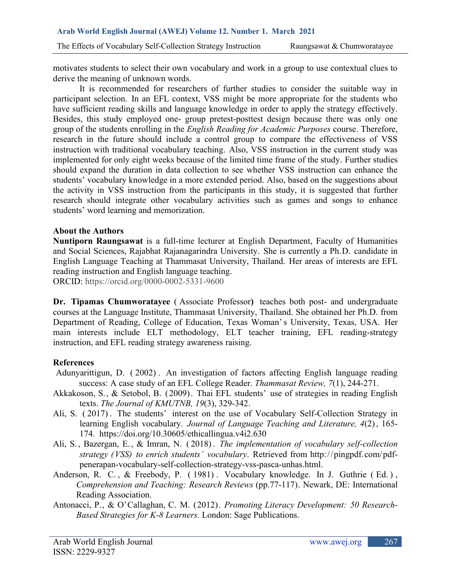motivates students to select their own vocabulary and work in a group to use contextual clues to derive the meaning of unknown words.

It is recommended for researchers of further studies to consider the suitable way in participant selection. In an EFL context, VSS might be more appropriate for the students who have sufficient reading skills and language knowledge in order to apply the strategy effectively. Besides, this study employed one- group pretest-posttest design because there was only one group of the students enrolling in the *English Reading for Academic Purposes* course. Therefore, research in the future should include a control group to compare the effectiveness of VSS instruction with traditional vocabulary teaching. Also, VSS instruction in the current study was implemented for only eight weeks because of the limited time frame of the study. Further studies should expand the duration in data collection to see whether VSS instruction can enhance the students' vocabulary knowledge in a more extended period. Also, based on the suggestions about the activity in VSS instruction from the participants in this study, it is suggested that further research should integrate other vocabulary activities such as games and songs to enhance students' word learning and memorization.

## **About the Authors**

**Nuntiporn Raungsawat** is a full-time lecturer at English Department, Faculty of Humanities and Social Sciences, Rajabhat Rajanagarindra University. She is currently a Ph.D. candidate in English Language Teaching at Thammasat University, Thailand. Her areas of interests are EFL reading instruction and English language teaching.

ORCID: https://orcid.org/0000-0002-5331-9600

**Dr. Tipamas Chumworatayee** ( Associate Professor**)** teaches both post- and undergraduate courses at the Language Institute, Thammasat University, Thailand. She obtained her Ph.D. from Department of Reading, College of Education, Texas Woman's University, Texas, USA. Her main interests include ELT methodology, ELT teacher training, EFL reading-strategy instruction, and EFL reading strategy awareness raising.

## **References**

- Adunyarittigun, D. ( 2002) . An investigation of factors affecting English language reading success: A case study of an EFL College Reader. *Thammasat Review, 7*(1), 244-271.
- Akkakoson, S., & Setobol, B. (2009). Thai EFL students' use of strategies in reading English texts. *The Journal of KMUTNB, 19*(3), 329-342.
- Ali, S. ( 2017) . The students' interest on the use of Vocabulary Self-Collection Strategy in learning English vocabulary. *Journal of Language Teaching and Literature, 4*(2), 165- 174. <https://doi.org/10.30605/ethicallingua.v4i2.630>
- Ali, S. , Bazergan, E. , & Imran, N. ( 2018) . *The implementation of vocabulary self-collection strategy (VSS) to enrich students' vocabulary*. Retrieved from [http://pingpdf.com/pdf](http://pingpdf.com/pdf-penerapan-vocabulary-self-collection-strategy-vss-pasca-unhas.html)[penerapan-vocabulary-self-collection-strategy-vss-pasca-unhas.html.](http://pingpdf.com/pdf-penerapan-vocabulary-self-collection-strategy-vss-pasca-unhas.html)
- Anderson, R. C. , & Freebody, P. ( 1981) . Vocabulary knowledge. In J. Guthrie ( Ed. ) , *Comprehension and Teaching: Research Reviews* (pp.77-117). Newark, DE: International Reading Association.
- Antonacci, P., & O'Callaghan, C. M. (2012). *Promoting Literacy Development: 50 Research-Based Strategies for K-8 Learners.* London: Sage Publications.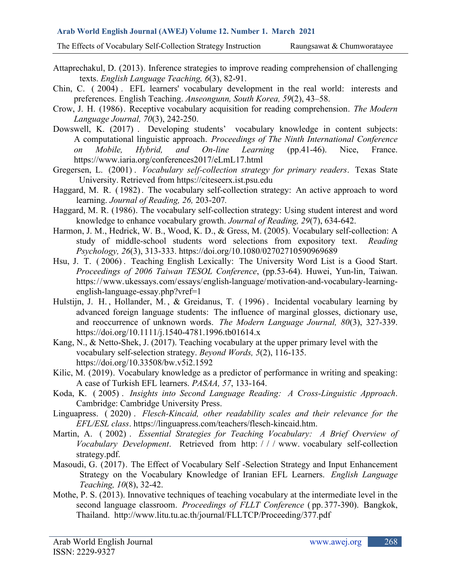#### **Arab World English Journal (AWEJ) Volume 12. Number 1. March 2021**

The Effects of Vocabulary Self-Collection Strategy Instruction Raungsawat & Chumworatayee

- Attaprechakul, D. (2013). Inference strategies to improve reading comprehension of challenging texts. *English Language Teaching, 6*(3), 82-91.
- Chin, C. ( 2004) . EFL learners' vocabulary development in the real world: interests and preferences. English Teaching. *Anseongunn, South Korea, 59*(2), 43–58.
- Crow, J. H. (1986). Receptive vocabulary acquisition for reading comprehension. *The Modern Language Journal, 70*(3), 242-250.
- Dowswell, K. (2017) . Developing students' vocabulary knowledge in content subjects: A computational linguistic approach. *Proceedings of The Ninth International Conference on Mobile, Hybrid, and On-line Learning* (pp.41-46). Nice, France. https://www.iaria.org/conferences2017/eLmL17.html
- Gregersen, L. (2001) . *Vocabulary self-collection strategy for primary readers*. Texas State University. Retrieved from [https://citeseerx.ist.psu.edu](https://citeseerx.ist.psu.edu/)
- Haggard, M. R. ( 1982) . The vocabulary self-collection strategy: An active approach to word learning. *Journal of Reading, 26,* 203-207*.*
- Haggard, M. R. (1986). The vocabulary self-collection strategy: Using student interest and word knowledge to enhance vocabulary growth. *Journal of Reading, 29*(7), 634-642.
- Harmon, J. M., Hedrick, W. B., Wood, K. D., & Gress, M. (2005). Vocabulary self-collection: A study of middle-school students word selections from expository text. *Reading Psychology, 26*(3), 313-333. <https://doi.org/10.1080/02702710590969689>
- Hsu, J. T. ( 2006) . Teaching English Lexically: The University Word List is a Good Start. *Proceedings of 2006 Taiwan TESOL Conference*, (pp.53-64). Huwei, Yun-lin, Taiwan. [https://www.ukessays.com/essays/english-language/motivation-and-vocabulary-learning](https://www.ukessays.com/essays/english-language/motivation-and-vocabulary-learning-english-language-essay.php?vref=1)[english-language-essay.php?vref=1](https://www.ukessays.com/essays/english-language/motivation-and-vocabulary-learning-english-language-essay.php?vref=1)
- Hulstijn, J. H., Hollander, M., & Greidanus, T. (1996). Incidental vocabulary learning by advanced foreign language students: The influence of marginal glosses, dictionary use, and reoccurrence of unknown words. *The Modern Language Journal, 80*(3), 327-339. <https://doi.org/10.1111/j.1540-4781.1996.tb01614.x>
- Kang, N., & Netto-Shek, J. (2017). Teaching vocabulary at the upper primary level with the vocabulary self-selection strategy. *Beyond Words, 5*(2), 116-135. <https://doi.org/10.33508/bw.v5i2.1592>
- Kilic, M. (2019). Vocabulary knowledge as a predictor of performance in writing and speaking: A case of Turkish EFL learners. *PASAA, 57*, 133-164.
- Koda, K. ( 2005) . *Insights into Second Language Reading: A Cross-Linguistic Approach*. Cambridge: Cambridge University Press.
- Linguapress. ( 2020) . *Flesch-Kincaid, other readability scales and their relevance for the EFL/ESL class*. [https://linguapress.com/teachers/flesch-kincaid.htm.](https://linguapress.com/teachers/flesch-kincaid.htm)
- Martin, A. ( 2002) . *Essential Strategies for Teaching Vocabulary: A Brief Overview of Vocabulary Development*. Retrieved from [http: / / /](http://www) www. vocabulary self-collection strategy.pdf.
- Masoudi, G. (2017). The Effect of Vocabulary Self -Selection Strategy and Input Enhancement Strategy on the Vocabulary Knowledge of Iranian EFL Learners. *English Language Teaching, 10*(8), 32-42.
- Mothe, P. S. (2013). Innovative techniques of teaching vocabulary at the intermediate level in the second language classroom. *Proceedings of FLLT Conference* ( pp. 377-390). Bangkok, Thailand. http://www.litu.tu.ac.th/journal/FLLTCP/Proceeding/377.pdf